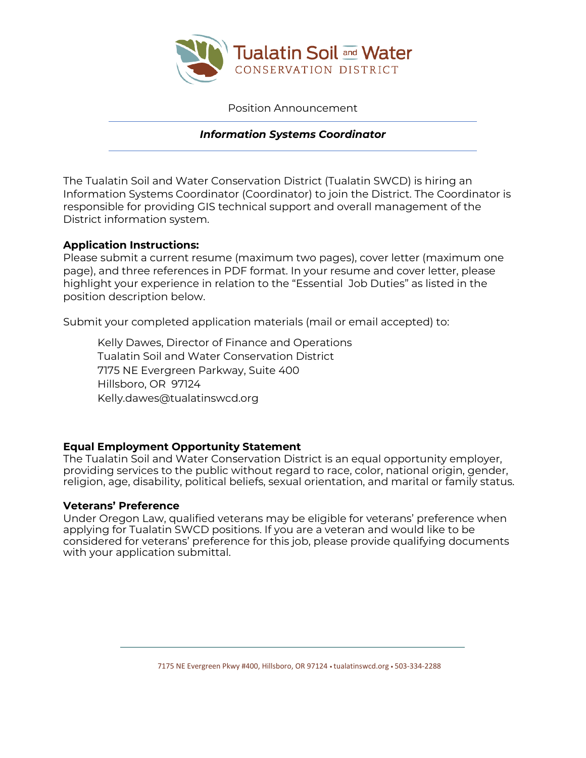

Position Announcement

## *Information Systems Coordinator*

The Tualatin Soil and Water Conservation District (Tualatin SWCD) is hiring an Information Systems Coordinator (Coordinator) to join the District. The Coordinator is responsible for providing GIS technical support and overall management of the District information system.

### **Application Instructions:**

Please submit a current resume (maximum two pages), cover letter (maximum one page), and three references in PDF format. In your resume and cover letter, please highlight your experience in relation to the "Essential Job Duties" as listed in the position description below.

Submit your completed application materials (mail or email accepted) to:

Kelly Dawes, Director of Finance and Operations Tualatin Soil and Water Conservation District 7175 NE Evergreen Parkway, Suite 400 Hillsboro, OR 97124 Kelly.dawes@tualatinswcd.org

## **Equal Employment Opportunity Statement**

The Tualatin Soil and Water Conservation District is an equal opportunity employer, providing services to the public without regard to race, color, national origin, gender, religion, age, disability, political beliefs, sexual orientation, and marital or family status.

### **Veterans' Preference**

Under Oregon Law, qualified veterans may be eligible for veterans' preference when applying for Tualatin SWCD positions. If you are a veteran and would like to be considered for veterans' preference for this job, please provide qualifying documents with your application submittal.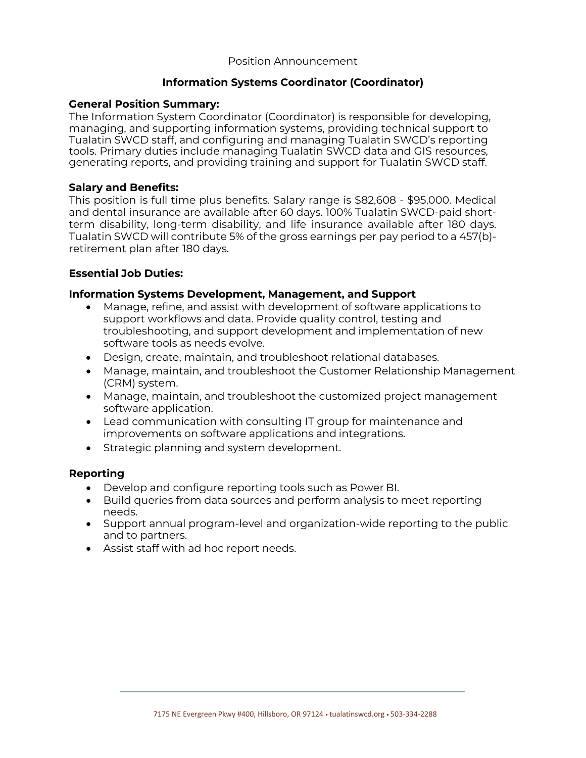#### Position Announcement

### **Information Systems Coordinator (Coordinator)**

### **General Position Summary:**

The Information System Coordinator (Coordinator) is responsible for developing, managing, and supporting information systems, providing technical support to Tualatin SWCD staff, and configuring and managing Tualatin SWCD's reporting tools. Primary duties include managing Tualatin SWCD data and GIS resources, generating reports, and providing training and support for Tualatin SWCD staff.

### **Salary and Benefits:**

This position is full time plus benefits. Salary range is \$82,608 - \$95,000. Medical and dental insurance are available after 60 days. 100% Tualatin SWCD-paid shortterm disability, long-term disability, and life insurance available after 180 days. Tualatin SWCD will contribute 5% of the gross earnings per pay period to a 457(b) retirement plan after 180 days.

#### **Essential Job Duties:**

### **Information Systems Development, Management, and Support**

- Manage, refine, and assist with development of software applications to support workflows and data. Provide quality control, testing and troubleshooting, and support development and implementation of new software tools as needs evolve.
- Design, create, maintain, and troubleshoot relational databases.
- Manage, maintain, and troubleshoot the Customer Relationship Management (CRM) system.
- Manage, maintain, and troubleshoot the customized project management software application.
- Lead communication with consulting IT group for maintenance and improvements on software applications and integrations.
- Strategic planning and system development.

#### **Reporting**

- Develop and configure reporting tools such as Power BI.
- Build queries from data sources and perform analysis to meet reporting needs.
- Support annual program-level and organization-wide reporting to the public and to partners.
- Assist staff with ad hoc report needs.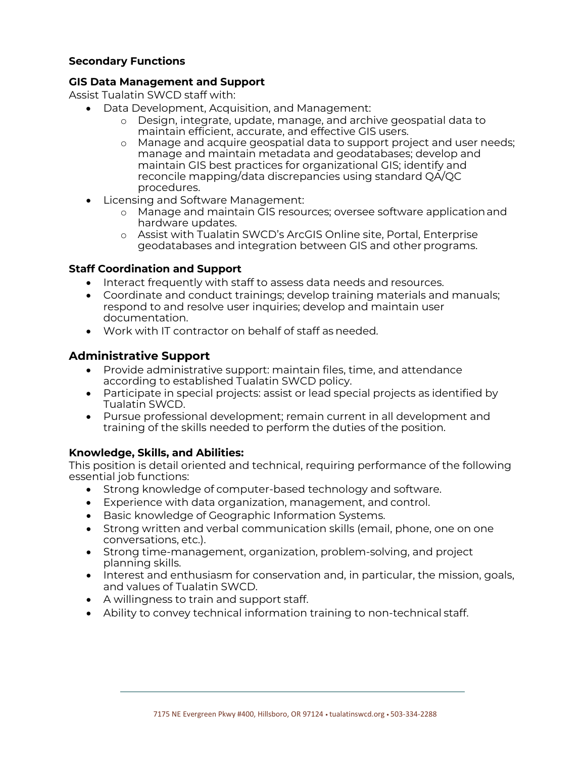## **Secondary Functions**

### **GIS Data Management and Support**

Assist Tualatin SWCD staff with:

- Data Development, Acquisition, and Management:
	- o Design, integrate, update, manage, and archive geospatial data to maintain efficient, accurate, and effective GIS users.
	- o Manage and acquire geospatial data to support project and user needs; manage and maintain metadata and geodatabases; develop and maintain GIS best practices for organizational GIS; identify and reconcile mapping/data discrepancies using standard QA/QC procedures.
- Licensing and Software Management:
	- o Manage and maintain GIS resources; oversee software applicationand hardware updates.
	- o Assist with Tualatin SWCD's ArcGIS Online site, Portal, Enterprise geodatabases and integration between GIS and other programs.

### **Staff Coordination and Support**

- Interact frequently with staff to assess data needs and resources.
- Coordinate and conduct trainings; develop training materials and manuals; respond to and resolve user inquiries; develop and maintain user documentation.
- Work with IT contractor on behalf of staff as needed.

# **Administrative Support**

- Provide administrative support: maintain files, time, and attendance according to established Tualatin SWCD policy.
- Participate in special projects: assist or lead special projects as identified by Tualatin SWCD.
- Pursue professional development; remain current in all development and training of the skills needed to perform the duties of the position.

## **Knowledge, Skills, and Abilities:**

This position is detail oriented and technical, requiring performance of the following essential job functions:

- Strong knowledge of computer-based technology and software.
- Experience with data organization, management, and control.
- Basic knowledge of Geographic Information Systems.
- Strong written and verbal communication skills (email, phone, one on one conversations, etc.).
- Strong time-management, organization, problem-solving, and project planning skills.
- Interest and enthusiasm for conservation and, in particular, the mission, goals, and values of Tualatin SWCD.
- A willingness to train and support staff.
- Ability to convey technical information training to non-technical staff.